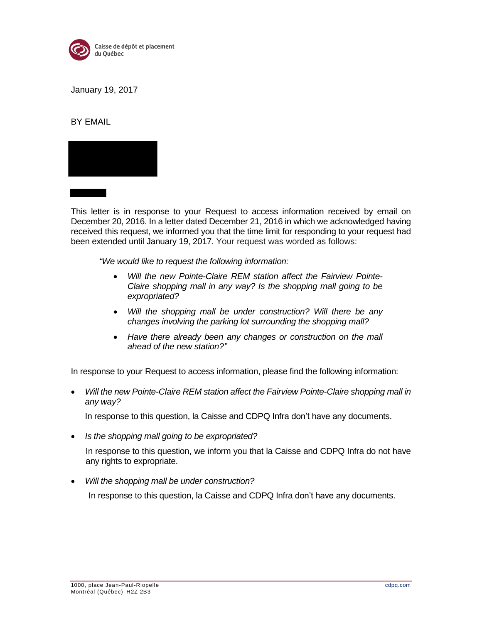

January 19, 2017

BY EMAIL



This letter is in response to your Request to access information received by email on December 20, 2016. In a letter dated December 21, 2016 in which we acknowledged having received this request, we informed you that the time limit for responding to your request had been extended until January 19, 2017. Your request was worded as follows:

*"We would like to request the following information:*

- *Will the new Pointe-Claire REM station affect the Fairview Pointe-Claire shopping mall in any way? Is the shopping mall going to be expropriated?*
- *Will the shopping mall be under construction? Will there be any changes involving the parking lot surrounding the shopping mall?*
- *Have there already been any changes or construction on the mall ahead of the new station?"*

In response to your Request to access information, please find the following information:

 *Will the new Pointe-Claire REM station affect the Fairview Pointe-Claire shopping mall in any way?* 

In response to this question, la Caisse and CDPQ Infra don't have any documents.

*Is the shopping mall going to be expropriated?*

In response to this question, we inform you that la Caisse and CDPQ Infra do not have any rights to expropriate.

*Will the shopping mall be under construction?* 

In response to this question, la Caisse and CDPQ Infra don't have any documents.